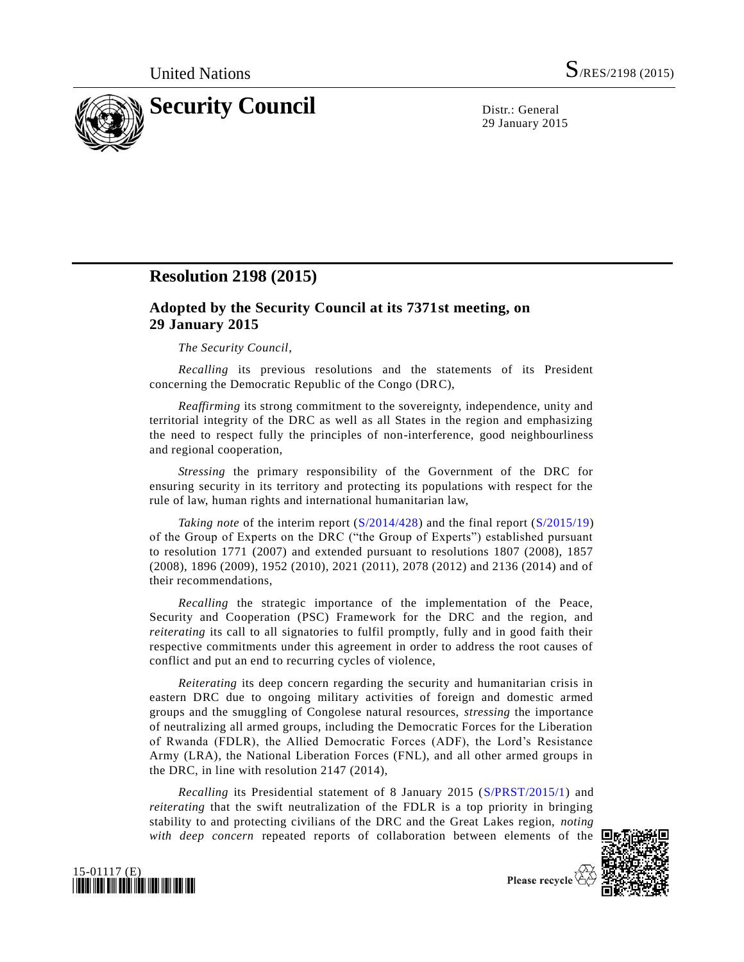

29 January 2015

# **Resolution 2198 (2015)**

# **Adopted by the Security Council at its 7371st meeting, on 29 January 2015**

#### *The Security Council*,

*Recalling* its previous resolutions and the statements of its President concerning the Democratic Republic of the Congo (DRC),

*Reaffirming* its strong commitment to the sovereignty, independence, unity and territorial integrity of the DRC as well as all States in the region and emphasizing the need to respect fully the principles of non-interference, good neighbourliness and regional cooperation,

*Stressing* the primary responsibility of the Government of the DRC for ensuring security in its territory and protecting its populations with respect for the rule of law, human rights and international humanitarian law,

*Taking note* of the interim report [\(S/2014/428\)](http://undocs.org/S/2014/428) and the final report [\(S/2015/19\)](http://undocs.org/S/2015/19) of the Group of Experts on the DRC ("the Group of Experts") established pursuant to resolution 1771 (2007) and extended pursuant to resolutions 1807 (2008), 1857 (2008), 1896 (2009), 1952 (2010), 2021 (2011), 2078 (2012) and 2136 (2014) and of their recommendations,

*Recalling* the strategic importance of the implementation of the Peace, Security and Cooperation (PSC) Framework for the DRC and the region, and *reiterating* its call to all signatories to fulfil promptly, fully and in good faith their respective commitments under this agreement in order to address the root causes of conflict and put an end to recurring cycles of violence,

*Reiterating* its deep concern regarding the security and humanitarian crisis in eastern DRC due to ongoing military activities of foreign and domestic armed groups and the smuggling of Congolese natural resources, *stressing* the importance of neutralizing all armed groups, including the Democratic Forces for the Liberation of Rwanda (FDLR), the Allied Democratic Forces (ADF), the Lord's Resistance Army (LRA), the National Liberation Forces (FNL), and all other armed groups in the DRC, in line with resolution 2147 (2014),

*Recalling* its Presidential statement of 8 January 2015 [\(S/PRST/2015/1\)](http://undocs.org/S/PRST/2015/1) and *reiterating* that the swift neutralization of the FDLR is a top priority in bringing stability to and protecting civilians of the DRC and the Great Lakes region, *noting with deep concern* repeated reports of collaboration between elements of the  $\Box$ 





Please recycle  $\overleftrightarrow{C}$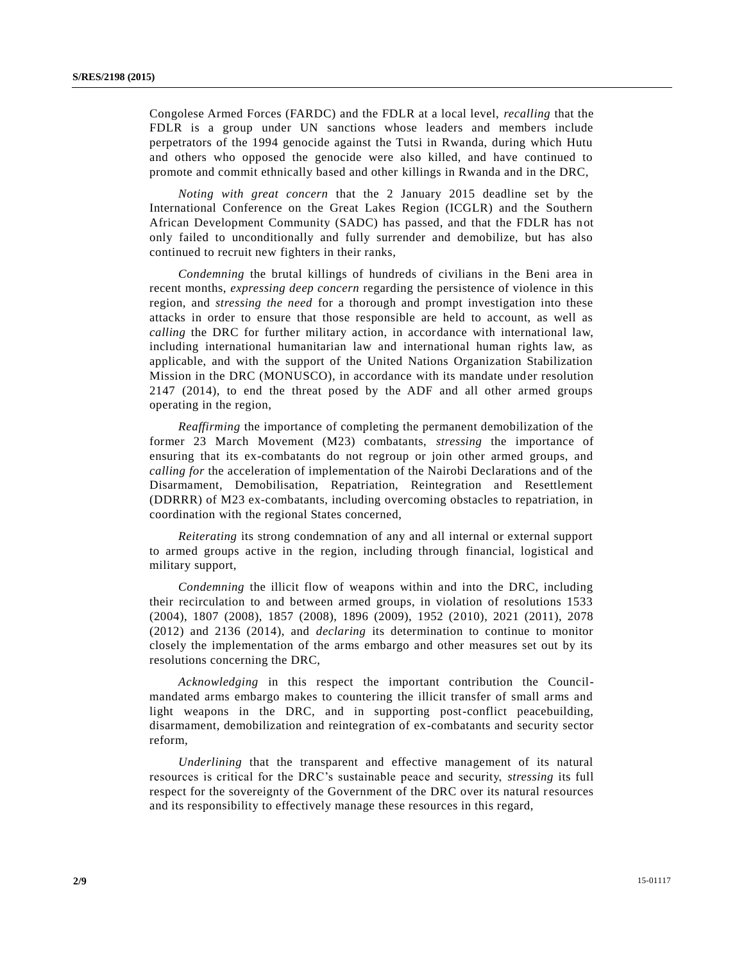Congolese Armed Forces (FARDC) and the FDLR at a local level, *recalling* that the FDLR is a group under UN sanctions whose leaders and members include perpetrators of the 1994 genocide against the Tutsi in Rwanda, during which Hutu and others who opposed the genocide were also killed, and have continued to promote and commit ethnically based and other killings in Rwanda and in the DRC,

*Noting with great concern* that the 2 January 2015 deadline set by the International Conference on the Great Lakes Region (ICGLR) and the Southern African Development Community (SADC) has passed, and that the FDLR has not only failed to unconditionally and fully surrender and demobilize, but has also continued to recruit new fighters in their ranks,

*Condemning* the brutal killings of hundreds of civilians in the Beni area in recent months, *expressing deep concern* regarding the persistence of violence in this region, and *stressing the need* for a thorough and prompt investigation into these attacks in order to ensure that those responsible are held to account, as well as *calling* the DRC for further military action, in accordance with international law, including international humanitarian law and international human rights law, as applicable, and with the support of the United Nations Organization Stabilization Mission in the DRC (MONUSCO), in accordance with its mandate under resolution 2147 (2014), to end the threat posed by the ADF and all other armed groups operating in the region,

*Reaffirming* the importance of completing the permanent demobilization of the former 23 March Movement (M23) combatants, *stressing* the importance of ensuring that its ex-combatants do not regroup or join other armed groups, and *calling for* the acceleration of implementation of the Nairobi Declarations and of the Disarmament, Demobilisation, Repatriation, Reintegration and Resettlement (DDRRR) of M23 ex-combatants, including overcoming obstacles to repatriation, in coordination with the regional States concerned,

*Reiterating* its strong condemnation of any and all internal or external support to armed groups active in the region, including through financial, logistical and military support,

*Condemning* the illicit flow of weapons within and into the DRC, including their recirculation to and between armed groups, in violation of resolutions 1533 (2004), 1807 (2008), 1857 (2008), 1896 (2009), 1952 (2010), 2021 (2011), 2078 (2012) and 2136 (2014), and *declaring* its determination to continue to monitor closely the implementation of the arms embargo and other measures set out by its resolutions concerning the DRC,

*Acknowledging* in this respect the important contribution the Councilmandated arms embargo makes to countering the illicit transfer of small arms and light weapons in the DRC, and in supporting post-conflict peacebuilding, disarmament, demobilization and reintegration of ex-combatants and security sector reform,

*Underlining* that the transparent and effective management of its natural resources is critical for the DRC's sustainable peace and security, *stressing* its full respect for the sovereignty of the Government of the DRC over its natural resources and its responsibility to effectively manage these resources in this regard,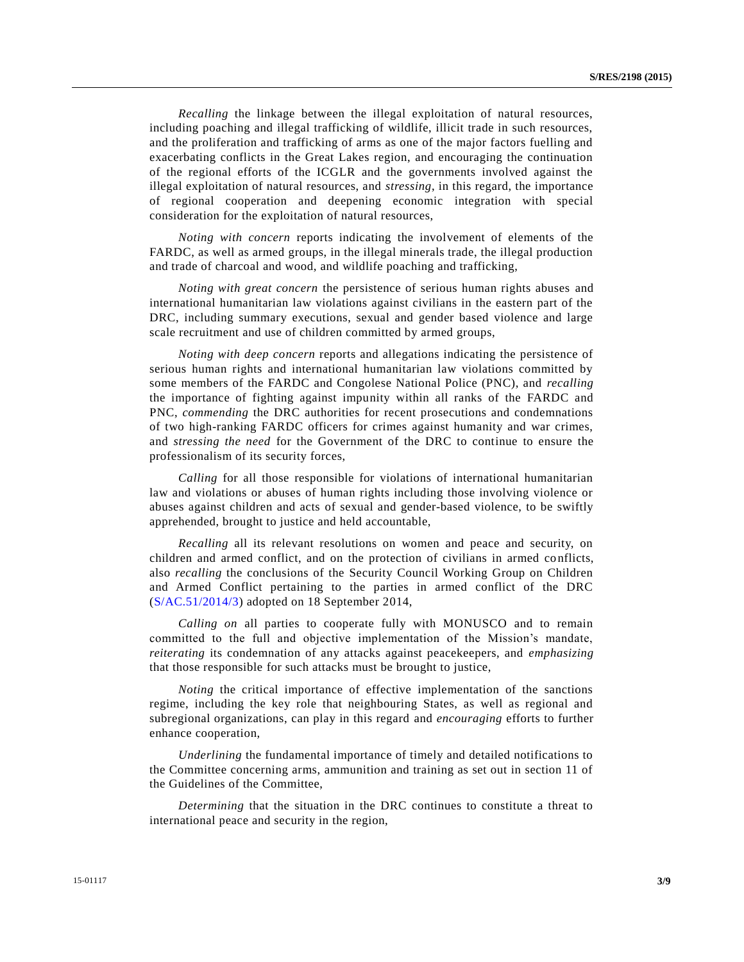*Recalling* the linkage between the illegal exploitation of natural resources, including poaching and illegal trafficking of wildlife, illicit trade in such resources, and the proliferation and trafficking of arms as one of the major factors fuelling and exacerbating conflicts in the Great Lakes region, and encouraging the continuation of the regional efforts of the ICGLR and the governments involved against the illegal exploitation of natural resources, and *stressing*, in this regard, the importance of regional cooperation and deepening economic integration with special consideration for the exploitation of natural resources,

*Noting with concern* reports indicating the involvement of elements of the FARDC, as well as armed groups, in the illegal minerals trade, the illegal production and trade of charcoal and wood, and wildlife poaching and trafficking,

*Noting with great concern* the persistence of serious human rights abuses and international humanitarian law violations against civilians in the eastern part of the DRC, including summary executions, sexual and gender based violence and large scale recruitment and use of children committed by armed groups,

*Noting with deep concern* reports and allegations indicating the persistence of serious human rights and international humanitarian law violations committed by some members of the FARDC and Congolese National Police (PNC), and *recalling* the importance of fighting against impunity within all ranks of the FARDC and PNC, *commending* the DRC authorities for recent prosecutions and condemnations of two high-ranking FARDC officers for crimes against humanity and war crimes, and *stressing the need* for the Government of the DRC to continue to ensure the professionalism of its security forces,

*Calling* for all those responsible for violations of international humanitarian law and violations or abuses of human rights including those involving violence or abuses against children and acts of sexual and gender-based violence, to be swiftly apprehended, brought to justice and held accountable,

*Recalling* all its relevant resolutions on women and peace and security, on children and armed conflict, and on the protection of civilians in armed co nflicts, also *recalling* the conclusions of the Security Council Working Group on Children and Armed Conflict pertaining to the parties in armed conflict of the DRC [\(S/AC.51/2014/3\)](http://undocs.org/S/AC.51/2014/3) adopted on 18 September 2014,

*Calling on* all parties to cooperate fully with MONUSCO and to remain committed to the full and objective implementation of the Mission's mandate, *reiterating* its condemnation of any attacks against peacekeepers, and *emphasizing* that those responsible for such attacks must be brought to justice,

*Noting* the critical importance of effective implementation of the sanctions regime, including the key role that neighbouring States, as well as regional and subregional organizations, can play in this regard and *encouraging* efforts to further enhance cooperation,

*Underlining* the fundamental importance of timely and detailed notifications to the Committee concerning arms, ammunition and training as set out in section 11 of the Guidelines of the Committee,

*Determining* that the situation in the DRC continues to constitute a threat to international peace and security in the region,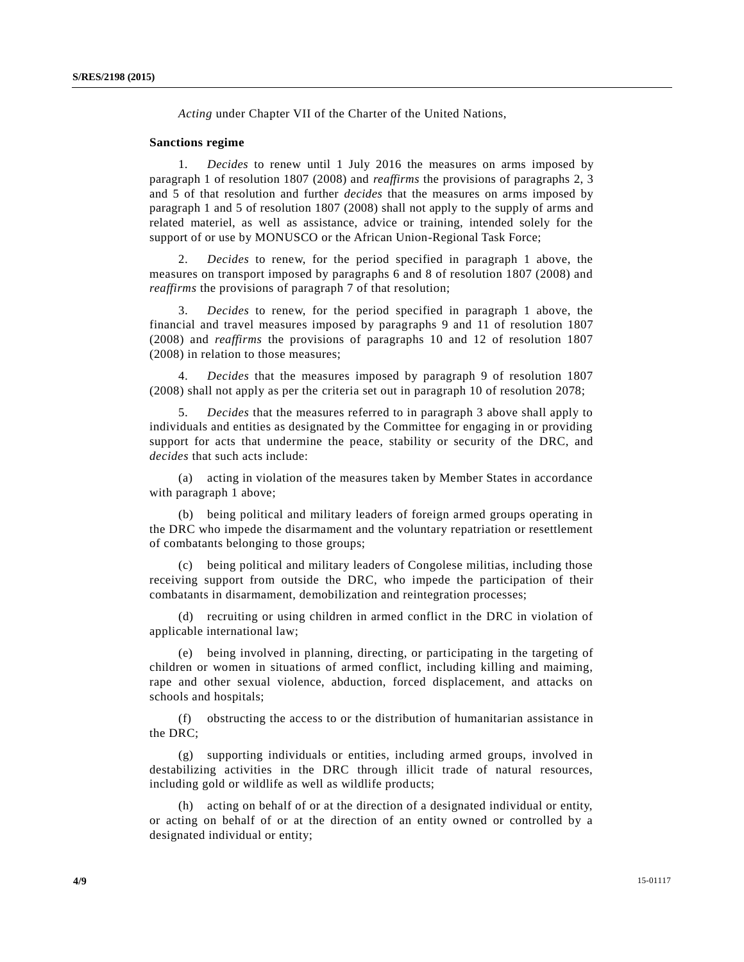*Acting* under Chapter VII of the Charter of the United Nations,

### **Sanctions regime**

1. *Decides* to renew until 1 July 2016 the measures on arms imposed by paragraph 1 of resolution 1807 (2008) and *reaffirms* the provisions of paragraphs 2, 3 and 5 of that resolution and further *decides* that the measures on arms imposed by paragraph 1 and 5 of resolution 1807 (2008) shall not apply to the supply of arms and related materiel, as well as assistance, advice or training, intended solely for the support of or use by MONUSCO or the African Union-Regional Task Force;

2. *Decides* to renew, for the period specified in paragraph 1 above, the measures on transport imposed by paragraphs 6 and 8 of resolution 1807 (2008) and *reaffirms* the provisions of paragraph 7 of that resolution;

3. *Decides* to renew, for the period specified in paragraph 1 above, the financial and travel measures imposed by paragraphs 9 and 11 of resolution 1807 (2008) and *reaffirms* the provisions of paragraphs 10 and 12 of resolution 1807 (2008) in relation to those measures;

4. *Decides* that the measures imposed by paragraph 9 of resolution 1807 (2008) shall not apply as per the criteria set out in paragraph 10 of resolution 2078;

5. *Decides* that the measures referred to in paragraph 3 above shall apply to individuals and entities as designated by the Committee for engaging in or providing support for acts that undermine the peace, stability or security of the DRC, and *decides* that such acts include:

(a) acting in violation of the measures taken by Member States in accordance with paragraph 1 above;

(b) being political and military leaders of foreign armed groups operating in the DRC who impede the disarmament and the voluntary repatriation or resettlement of combatants belonging to those groups;

(c) being political and military leaders of Congolese militias, including those receiving support from outside the DRC, who impede the participation of their combatants in disarmament, demobilization and reintegration processes;

(d) recruiting or using children in armed conflict in the DRC in violation of applicable international law;

(e) being involved in planning, directing, or participating in the targeting of children or women in situations of armed conflict, including killing and maiming, rape and other sexual violence, abduction, forced displacement, and attacks on schools and hospitals;

(f) obstructing the access to or the distribution of humanitarian assistance in the DRC;

(g) supporting individuals or entities, including armed groups, involved in destabilizing activities in the DRC through illicit trade of natural resources, including gold or wildlife as well as wildlife products;

(h) acting on behalf of or at the direction of a designated individual or entity, or acting on behalf of or at the direction of an entity owned or controlled by a designated individual or entity;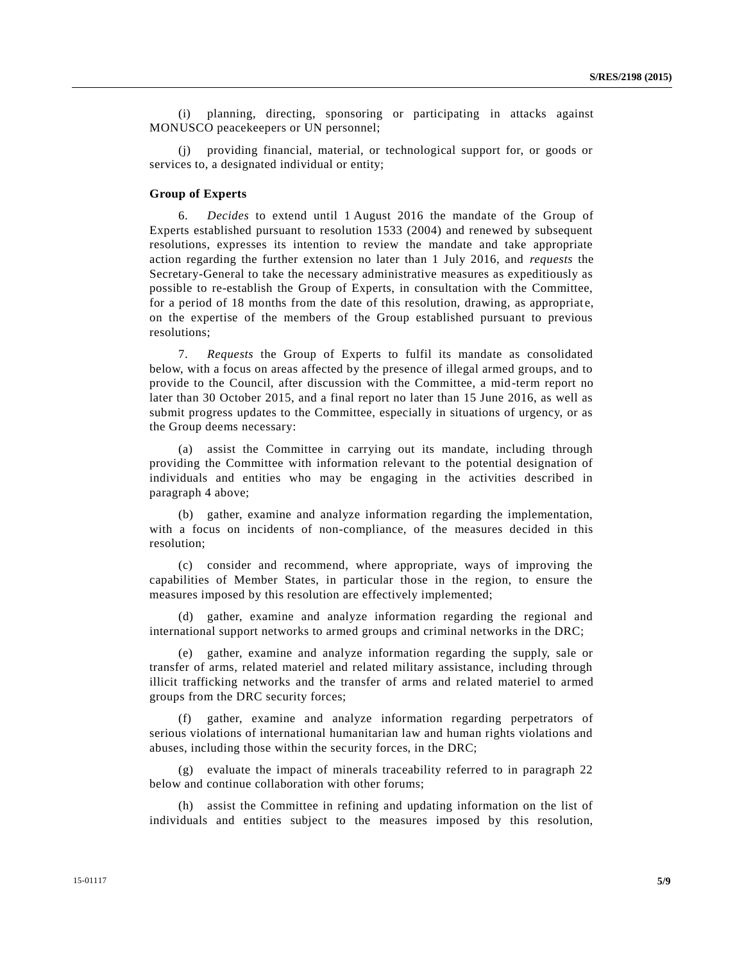(i) planning, directing, sponsoring or participating in attacks against MONUSCO peacekeepers or UN personnel;

(j) providing financial, material, or technological support for, or goods or services to, a designated individual or entity;

# **Group of Experts**

6. *Decides* to extend until 1 August 2016 the mandate of the Group of Experts established pursuant to resolution 1533 (2004) and renewed by subsequent resolutions, expresses its intention to review the mandate and take appropriate action regarding the further extension no later than 1 July 2016, and *requests* the Secretary-General to take the necessary administrative measures as expeditiously as possible to re-establish the Group of Experts, in consultation with the Committee, for a period of 18 months from the date of this resolution, drawing, as appropriate, on the expertise of the members of the Group established pursuant to previous resolutions;

7. *Requests* the Group of Experts to fulfil its mandate as consolidated below, with a focus on areas affected by the presence of illegal armed groups, and to provide to the Council, after discussion with the Committee, a mid-term report no later than 30 October 2015, and a final report no later than 15 June 2016, as well as submit progress updates to the Committee, especially in situations of urgency, or as the Group deems necessary:

(a) assist the Committee in carrying out its mandate, including through providing the Committee with information relevant to the potential designation of individuals and entities who may be engaging in the activities described in paragraph 4 above;

(b) gather, examine and analyze information regarding the implementation, with a focus on incidents of non-compliance, of the measures decided in this resolution;

(c) consider and recommend, where appropriate, ways of improving the capabilities of Member States, in particular those in the region, to ensure the measures imposed by this resolution are effectively implemented;

(d) gather, examine and analyze information regarding the regional and international support networks to armed groups and criminal networks in the DRC;

(e) gather, examine and analyze information regarding the supply, sale or transfer of arms, related materiel and related military assistance, including through illicit trafficking networks and the transfer of arms and related materiel to armed groups from the DRC security forces;

(f) gather, examine and analyze information regarding perpetrators of serious violations of international humanitarian law and human rights violations and abuses, including those within the security forces, in the DRC;

(g) evaluate the impact of minerals traceability referred to in paragraph 22 below and continue collaboration with other forums;

(h) assist the Committee in refining and updating information on the list of individuals and entities subject to the measures imposed by this resolution,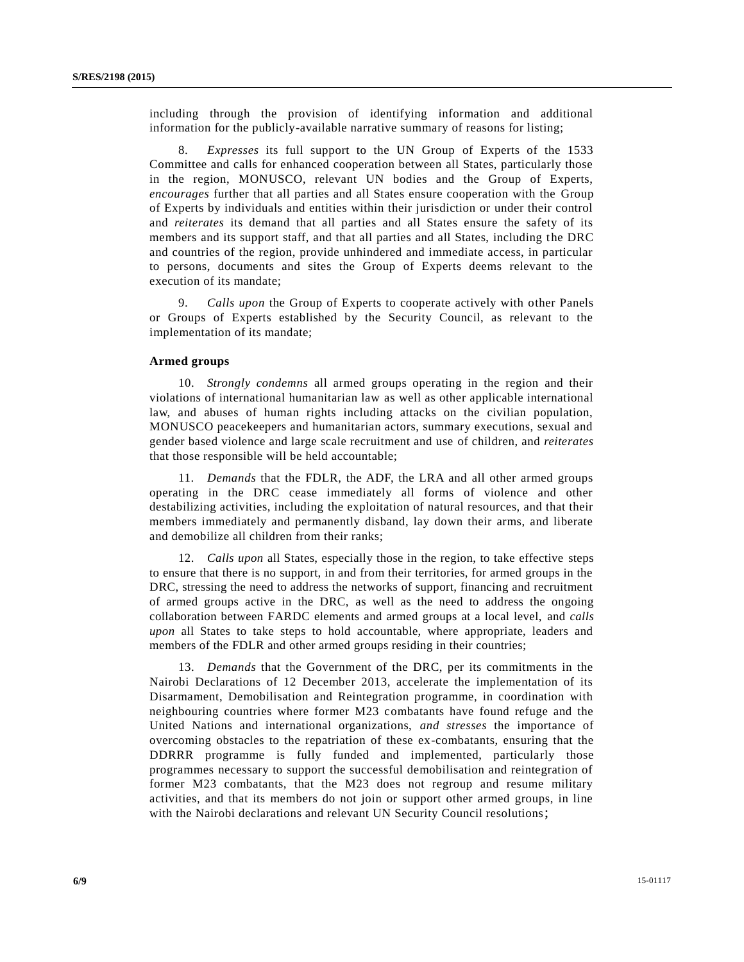including through the provision of identifying information and additional information for the publicly-available narrative summary of reasons for listing;

8. *Expresses* its full support to the UN Group of Experts of the 1533 Committee and calls for enhanced cooperation between all States, particularly those in the region, MONUSCO, relevant UN bodies and the Group of Experts, *encourages* further that all parties and all States ensure cooperation with the Group of Experts by individuals and entities within their jurisdiction or under their control and *reiterates* its demand that all parties and all States ensure the safety of its members and its support staff, and that all parties and all States, including the DRC and countries of the region, provide unhindered and immediate access, in particular to persons, documents and sites the Group of Experts deems relevant to the execution of its mandate;

9. *Calls upon* the Group of Experts to cooperate actively with other Panels or Groups of Experts established by the Security Council, as relevant to the implementation of its mandate;

#### **Armed groups**

10. *Strongly condemns* all armed groups operating in the region and their violations of international humanitarian law as well as other applicable international law, and abuses of human rights including attacks on the civilian population, MONUSCO peacekeepers and humanitarian actors, summary executions, sexual and gender based violence and large scale recruitment and use of children, and *reiterates* that those responsible will be held accountable;

11. *Demands* that the FDLR, the ADF, the LRA and all other armed groups operating in the DRC cease immediately all forms of violence and other destabilizing activities, including the exploitation of natural resources, and that their members immediately and permanently disband, lay down their arms, and liberate and demobilize all children from their ranks;

12. *Calls upon* all States, especially those in the region, to take effective steps to ensure that there is no support, in and from their territories, for armed groups in the DRC, stressing the need to address the networks of support, financing and recruitment of armed groups active in the DRC, as well as the need to address the ongoing collaboration between FARDC elements and armed groups at a local level, and *calls upon* all States to take steps to hold accountable, where appropriate, leaders and members of the FDLR and other armed groups residing in their countries;

13. *Demands* that the Government of the DRC, per its commitments in the Nairobi Declarations of 12 December 2013, accelerate the implementation of its Disarmament, Demobilisation and Reintegration programme, in coordination with neighbouring countries where former M23 combatants have found refuge and the United Nations and international organizations, *and stresses* the importance of overcoming obstacles to the repatriation of these ex-combatants, ensuring that the DDRRR programme is fully funded and implemented, particularly those programmes necessary to support the successful demobilisation and reintegration of former M23 combatants, that the M23 does not regroup and resume military activities, and that its members do not join or support other armed groups, in line with the Nairobi declarations and relevant UN Security Council resolutions;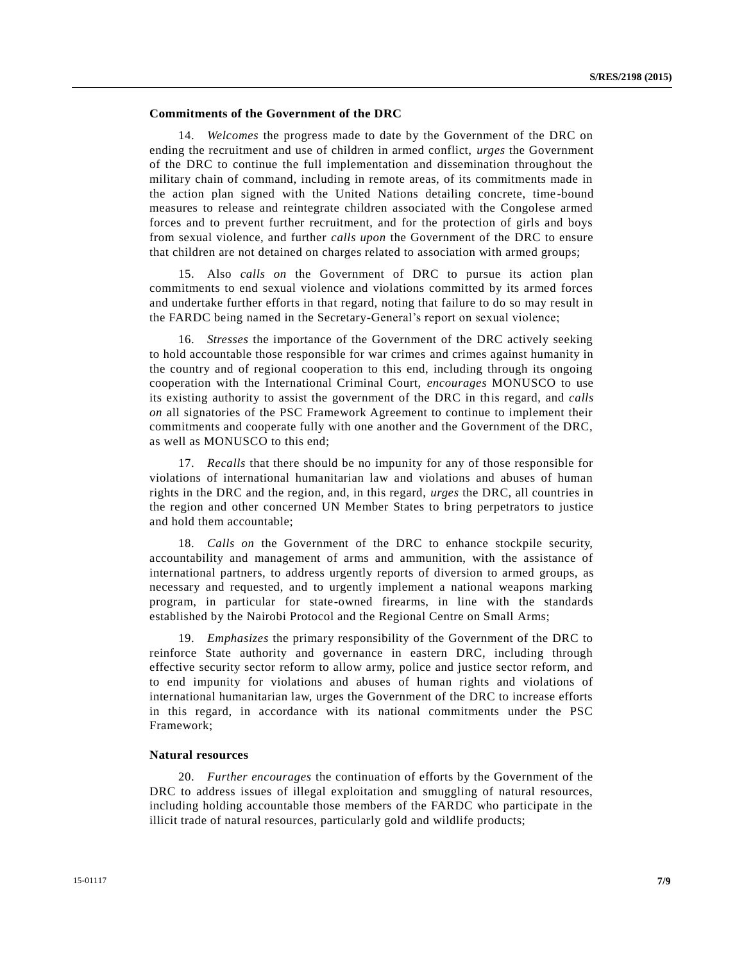# **Commitments of the Government of the DRC**

14. *Welcomes* the progress made to date by the Government of the DRC on ending the recruitment and use of children in armed conflict, *urges* the Government of the DRC to continue the full implementation and dissemination throughout the military chain of command, including in remote areas, of its commitments made in the action plan signed with the United Nations detailing concrete, time -bound measures to release and reintegrate children associated with the Congolese armed forces and to prevent further recruitment, and for the protection of girls and boys from sexual violence, and further *calls upon* the Government of the DRC to ensure that children are not detained on charges related to association with armed groups;

15. Also *calls on* the Government of DRC to pursue its action plan commitments to end sexual violence and violations committed by its armed forces and undertake further efforts in that regard, noting that failure to do so may result in the FARDC being named in the Secretary-General's report on sexual violence;

16. *Stresses* the importance of the Government of the DRC actively seeking to hold accountable those responsible for war crimes and crimes against humanity in the country and of regional cooperation to this end, including through its ongoing cooperation with the International Criminal Court, *encourages* MONUSCO to use its existing authority to assist the government of the DRC in this regard, and *calls on* all signatories of the PSC Framework Agreement to continue to implement their commitments and cooperate fully with one another and the Government of the DRC, as well as MONUSCO to this end;

17. *Recalls* that there should be no impunity for any of those responsible for violations of international humanitarian law and violations and abuses of human rights in the DRC and the region, and, in this regard, *urges* the DRC, all countries in the region and other concerned UN Member States to bring perpetrators to justice and hold them accountable;

18. *Calls on* the Government of the DRC to enhance stockpile security, accountability and management of arms and ammunition, with the assistance of international partners, to address urgently reports of diversion to armed groups, as necessary and requested, and to urgently implement a national weapons marking program, in particular for state-owned firearms, in line with the standards established by the Nairobi Protocol and the Regional Centre on Small Arms;

19. *Emphasizes* the primary responsibility of the Government of the DRC to reinforce State authority and governance in eastern DRC, including through effective security sector reform to allow army, police and justice sector reform, and to end impunity for violations and abuses of human rights and violations of international humanitarian law, urges the Government of the DRC to increase efforts in this regard, in accordance with its national commitments under the PSC Framework;

# **Natural resources**

20. *Further encourages* the continuation of efforts by the Government of the DRC to address issues of illegal exploitation and smuggling of natural resources, including holding accountable those members of the FARDC who participate in the illicit trade of natural resources, particularly gold and wildlife products;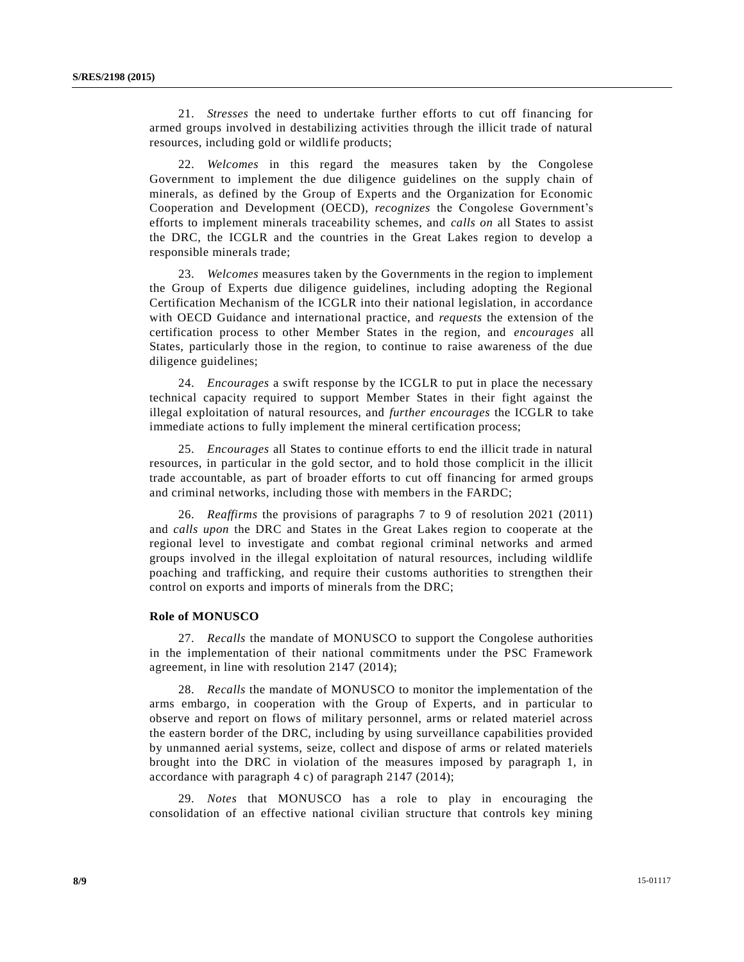21. *Stresses* the need to undertake further efforts to cut off financing for armed groups involved in destabilizing activities through the illicit trade of natural resources, including gold or wildlife products;

22. *Welcomes* in this regard the measures taken by the Congolese Government to implement the due diligence guidelines on the supply chain of minerals, as defined by the Group of Experts and the Organization for Economic Cooperation and Development (OECD), *recognizes* the Congolese Government's efforts to implement minerals traceability schemes, and *calls on* all States to assist the DRC, the ICGLR and the countries in the Great Lakes region to develop a responsible minerals trade;

23. *Welcomes* measures taken by the Governments in the region to implement the Group of Experts due diligence guidelines, including adopting the Regional Certification Mechanism of the ICGLR into their national legislation, in accordance with OECD Guidance and international practice, and *requests* the extension of the certification process to other Member States in the region, and *encourages* all States, particularly those in the region, to continue to raise awareness of the due diligence guidelines;

24. *Encourages* a swift response by the ICGLR to put in place the necessary technical capacity required to support Member States in their fight against the illegal exploitation of natural resources, and *further encourages* the ICGLR to take immediate actions to fully implement the mineral certification process;

25. *Encourages* all States to continue efforts to end the illicit trade in natural resources, in particular in the gold sector, and to hold those complicit in the illicit trade accountable, as part of broader efforts to cut off financing for armed groups and criminal networks, including those with members in the FARDC;

26. *Reaffirms* the provisions of paragraphs 7 to 9 of resolution 2021 (2011) and *calls upon* the DRC and States in the Great Lakes region to cooperate at the regional level to investigate and combat regional criminal networks and armed groups involved in the illegal exploitation of natural resources, including wildlife poaching and trafficking, and require their customs authorities to strengthen their control on exports and imports of minerals from the DRC;

#### **Role of MONUSCO**

27. *Recalls* the mandate of MONUSCO to support the Congolese authorities in the implementation of their national commitments under the PSC Framework agreement, in line with resolution 2147 (2014);

28. *Recalls* the mandate of MONUSCO to monitor the implementation of the arms embargo, in cooperation with the Group of Experts, and in particular to observe and report on flows of military personnel, arms or related materiel across the eastern border of the DRC, including by using surveillance capabilities provided by unmanned aerial systems, seize, collect and dispose of arms or related materiels brought into the DRC in violation of the measures imposed by paragraph 1, in accordance with paragraph 4 c) of paragraph 2147 (2014);

29. *Notes* that MONUSCO has a role to play in encouraging the consolidation of an effective national civilian structure that controls key mining